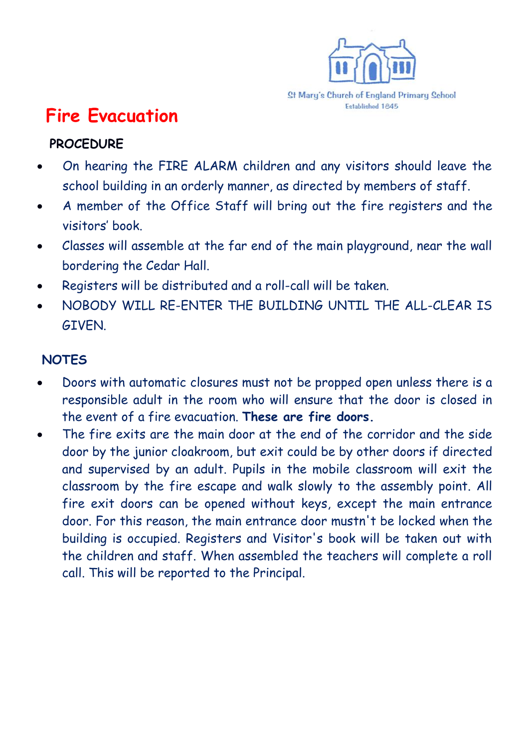

## **Fire Evacuation**

## **PROCEDURE**

- On hearing the FIRE ALARM children and any visitors should leave the school building in an orderly manner, as directed by members of staff.
- A member of the Office Staff will bring out the fire registers and the visitors' book.
- Classes will assemble at the far end of the main playground, near the wall bordering the Cedar Hall.
- Registers will be distributed and a roll-call will be taken.
- NOBODY WILL RE-ENTER THE BUILDING UNTIL THE ALL-CLEAR IS GIVEN.

## **NOTES**

- Doors with automatic closures must not be propped open unless there is a responsible adult in the room who will ensure that the door is closed in the event of a fire evacuation. **These are fire doors.**
- The fire exits are the main door at the end of the corridor and the side door by the junior cloakroom, but exit could be by other doors if directed and supervised by an adult. Pupils in the mobile classroom will exit the classroom by the fire escape and walk slowly to the assembly point. All fire exit doors can be opened without keys, except the main entrance door. For this reason, the main entrance door mustn't be locked when the building is occupied. Registers and Visitor's book will be taken out with the children and staff. When assembled the teachers will complete a roll call. This will be reported to the Principal.